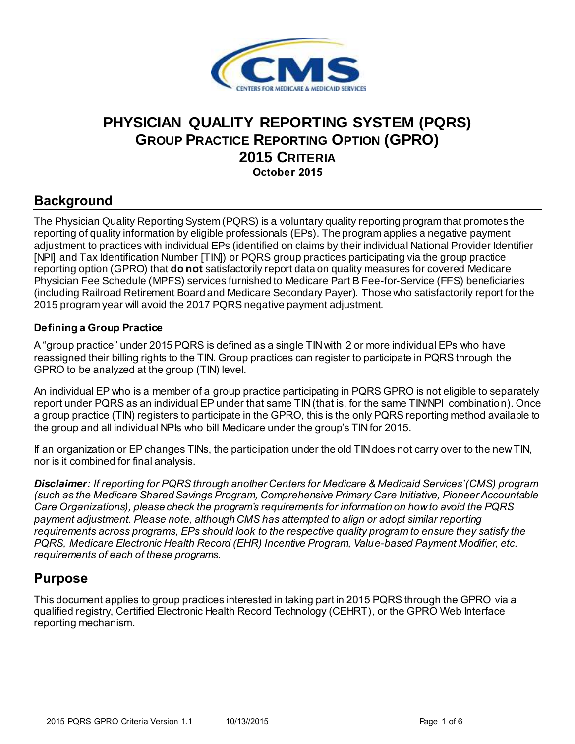

# **PHYSICIAN QUALITY REPORTING SYSTEM (PQRS) GROUP PRACTICE REPORTING OPTION (GPRO) 2015 CRITERIA October 2015**

# **Background**

 The Physician Quality Reporting System (PQRS) is a voluntary quality reporting program that promotes the reporting of quality information by eligible professionals (EPs). The program applies a negative payment adjustment to practices with individual EPs (identified on claims by their individual National Provider Identifier [NPI] and Tax Identification Number [TIN]) or PQRS group practices participating via the group practice reporting option (GPRO) that **do not** satisfactorily report data on quality measures for covered Medicare Physician Fee Schedule (MPFS) services furnished to Medicare Part B Fee-for-Service (FFS) beneficiaries (including Railroad Retirement Board and Medicare Secondary Payer). Those who satisfactorily report for the 2015 program year will avoid the 2017 PQRS negative payment adjustment.

#### **Defining a Group Practice**

 A "group practice" under 2015 PQRS is defined as a single TIN with 2 or more individual EPs who have reassigned their billing rights to the TIN. Group practices can register to participate in PQRS through the GPRO to be analyzed at the group (TIN) level.

 An individual EP who is a member of a group practice participating in PQRS GPRO is not eligible to separately report under PQRS as an individual EP under that same TIN(that is, for the same TIN/NPI combination). Once a group practice (TIN) registers to participate in the GPRO, this is the only PQRS reporting method available to the group and all individual NPIs who bill Medicare under the group's TIN for 2015.

If an organization or EP changes TINs, the participation under the old TIN does not carry over to the new TIN, nor is it combined for final analysis.

 *Disclaimer: If reporting for PQRS through another Centers for Medicare & Medicaid Services'(CMS) program (such as the Medicare Shared Savings Program, Comprehensive Primary Care Initiative, Pioneer Accountable Care Organizations), please check the program's requirements for information on how to avoid the PQRS payment adjustment. Please note, although CMS has attempted to align or adopt similar reporting requirements across programs, EPs should look to the respective quality program to ensure they satisfy the PQRS, Medicare Electronic Health Record (EHR) Incentive Program, Value-based Payment Modifier, etc. requirements of each of these programs.* 

## **Purpose**

 This document applies to group practices interested in taking part in 2015 PQRS through the GPRO via a qualified registry, Certified Electronic Health Record Technology (CEHRT), or the GPRO Web Interface reporting mechanism.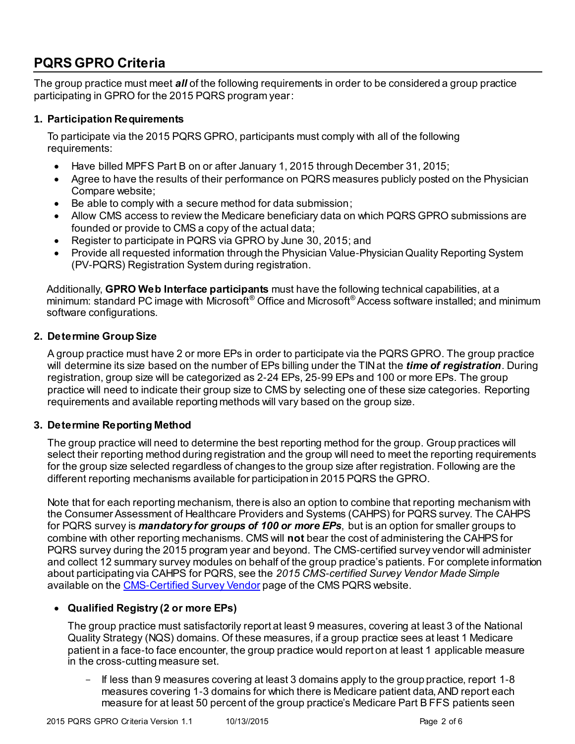# **PQRS GPRO Criteria**

 The group practice must meet *all* of the following requirements in order to be considered a group practice participating in GPRO for the 2015 PQRS program year:

#### **1. Participation Requirements**

 To participate via the 2015 PQRS GPRO, participants must comply with all of the following requirements:

- Have billed MPFS Part B on or after January 1, 2015 through December 31, 2015;
- Agree to have the results of their performance on PQRS measures publicly posted on the Physician Compare website;
- Be able to comply with a secure method for data submission;
- Allow CMS access to review the Medicare beneficiary data on which PQRS GPRO submissions are founded or provide to CMS a copy of the actual data;
- Register to participate in PQRS via GPRO by June 30, 2015; and
- Provide all requested information through the Physician Value-Physician Quality Reporting System (PV-PQRS) Registration System during registration.

 Additionally, **GPRO Web Interface participants** must have the following technical capabilities, at a minimum: standard PC image with Microsoft® Office and Microsoft® Access software installed; and minimum software configurations.

#### **2. Determine Group Size**

 A group practice must have 2 or more EPs in order to participate via the PQRS GPRO. The group practice will determine its size based on the number of EPs billing under the TIN at the *time of registration*. During registration, group size will be categorized as 2-24 EPs, 25-99 EPs and 100 or more EPs. The group practice will need to indicate their group size to CMS by selecting one of these size categories. Reporting requirements and available reporting methods will vary based on the group size.

#### **3. Determine Reporting Method**

 The group practice will need to determine the best reporting method for the group. Group practices will select their reporting method during registration and the group will need to meet the reporting requirements for the group size selected regardless of changes to the group size after registration. Following are the different reporting mechanisms available for participation in 2015 PQRS the GPRO.

 Note that for each reporting mechanism, there is also an option to combine that reporting mechanism with the Consumer Assessment of Healthcare Providers and Systems (CAHPS) for PQRS survey. The CAHPS for PQRS survey is *mandatory for groups of 100 or more EPs*, but is an option for smaller groups to combine with other reporting mechanisms. CMS will **not** bear the cost of administering the CAHPS for PQRS survey during the 2015 program year and beyond. The CMS-certified survey vendor will administer and collect 12 summary survey modules on behalf of the group practice's patients. For complete information about participating via CAHPS for PQRS, see the *2015 CMS-certified Survey Vendor Made Simple*  available on th[e CMS-Certified Survey Vendor](https://www.cms.gov/Medicare/Quality-Initiatives-Patient-Assessment-Instruments/PQRS/CMS-Certified-Survey-Vendor.html) page of the CMS PQRS website.

#### **Qualified Registry (2 or more EPs)**

 The group practice must satisfactorily report at least 9 measures, covering at least 3 of the National Quality Strategy (NQS) domains. Of these measures, if a group practice sees at least 1 Medicare patient in a face-to face encounter, the group practice would report on at least 1 applicable measure in the cross-cutting measure set.

- If less than 9 measures covering at least 3 domains apply to the group practice, report 1-8 measures covering 1-3 domains for which there is Medicare patient data, AND report each measure for at least 50 percent of the group practice's Medicare Part B FFS patients seen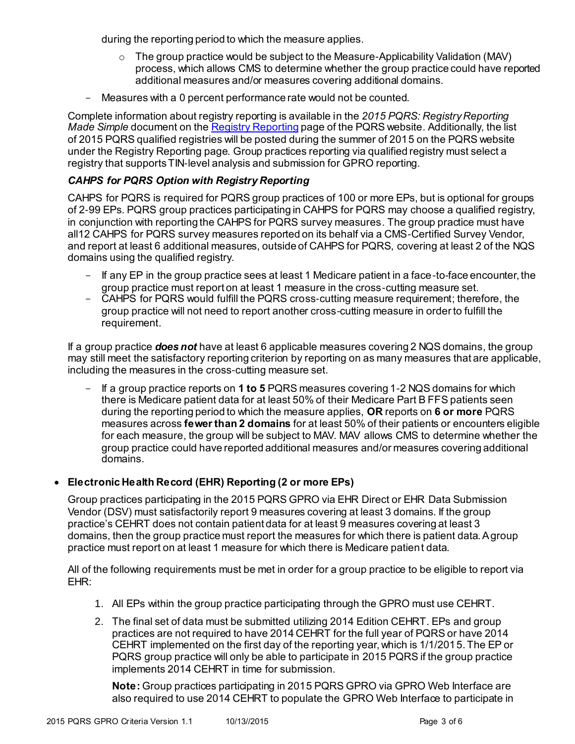during the reporting period to which the measure applies.

- $\circ$  The group practice would be subject to the Measure-Applicability Validation (MAV) process, which allows CMS to determine whether the group practice could have reported additional measures and/or measures covering additional domains.
- Measures with a 0 percent performance rate would not be counted.

 Complete information about registry reporting is available in the *2015 PQRS: Registry Reporting Made Simple* document on the **Registry Reporting** page of the PQRS website. Additionally, the list of 2015 PQRS qualified registries will be posted during the summer of 2015 on the PQRS website under the Registry Reporting page. Group practices reporting via qualified registry must select a registry that supports TIN-level analysis and submission for GPRO reporting.

#### *CAHPS for PQRS Option with Registry Reporting*

 CAHPS for PQRS is required for PQRS group practices of 100 or more EPs, but is optional for groups of 2-99 EPs. PQRS group practices participating in CAHPS for PQRS may choose a qualified registry, in conjunction with reporting the CAHPS for PQRS survey measures. The group practice must have all12 CAHPS for PQRS survey measures reported on its behalf via a CMS-Certified Survey Vendor, and report at least 6 additional measures, outside of CAHPS for PQRS, covering at least 2 of the NQS domains using the qualified registry.

- If any EP in the group practice sees at least 1 Medicare patient in a face-to-face encounter, the group practice must report on at least 1 measure in the cross-cutting measure set.
- CAHPS for PQRS would fulfill the PQRS cross-cutting measure requirement; therefore, the group practice will not need to report another cross-cutting measure in order to fulfill the requirement.

 If a group practice *does not* have at least 6 applicable measures covering 2 NQS domains, the group may still meet the satisfactory reporting criterion by reporting on as many measures that are applicable, including the measures in the cross-cutting measure set.

- If a group practice reports on **1 to 5** PQRS measures covering 1-2 NQS domains for which there is Medicare patient data for at least 50% of their Medicare Part B FFS patients seen during the reporting period to which the measure applies, **OR** reports on **6 or more** PQRS  measures across **fewer than 2 domains** for at least 50% of their patients or encounters eligible for each measure, the group will be subject to MAV. MAV allows CMS to determine whether the group practice could have reported additional measures and/or measures covering additional domains.

#### **Electronic Health Record (EHR) Reporting (2 or more EPs)**

 Group practices participating in the 2015 PQRS GPRO via EHR Direct or EHR Data Submission Vendor (DSV) must satisfactorily report 9 measures covering at least 3 domains. If the group practice's CEHRT does not contain patient data for at least 9 measures covering at least 3 domains, then the group practice must report the measures for which there is patient data. Agroup practice must report on at least 1 measure for which there is Medicare patient data.

 All of the following requirements must be met in order for a group practice to be eligible to report via EHR:

- 1. All EPs within the group practice participating through the GPRO must use CEHRT.
- 2. The final set of data must be submitted utilizing 2014 Edition CEHRT. EPs and group practices are not required to have 2014 CEHRT for the full year of PQRS or have 2014 CEHRT implemented on the first day of the reporting year, which is 1/1/2015.The EP or PQRS group practice will only be able to participate in 2015 PQRS if the group practice implements 2014 CEHRT in time for submission.

 **Note:** Group practices participating in 2015 PQRS GPRO via GPRO Web Interface are also required to use 2014 CEHRT to populate the GPRO Web Interface to participate in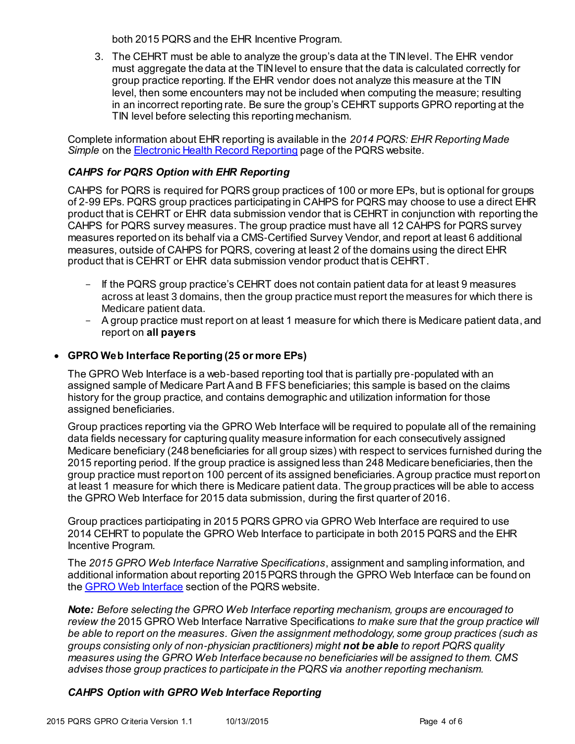both 2015 PQRS and the EHR Incentive Program.

3. The CEHRT must be able to analyze the group's data at the TIN level. The EHR vendor must aggregate the data at the TINlevel to ensure that the data is calculated correctly for group practice reporting. If the EHR vendor does not analyze this measure at the TIN level, then some encounters may not be included when computing the measure; resulting in an incorrect reporting rate. Be sure the group's CEHRT supports GPRO reporting at the TIN level before selecting this reporting mechanism.

 Complete information about EHR reporting is available in the *2014 PQRS: EHR Reporting Made* Simple on the **Electronic Health Record Reporting** page of the PQRS website.

#### *CAHPS for PQRS Option with EHR Reporting*

 CAHPS for PQRS is required for PQRS group practices of 100 or more EPs, but is optional for groups of 2-99 EPs. PQRS group practices participating in CAHPS for PQRS may choose to use a direct EHR product that is CEHRT or EHR data submission vendor that is CEHRT in conjunction with reporting the CAHPS for PQRS survey measures. The group practice must have all 12 CAHPS for PQRS survey measures reported on its behalf via a CMS-Certified Survey Vendor, and report at least 6 additional measures, outside of CAHPS for PQRS, covering at least 2 of the domains using the direct EHR product that is CEHRT or EHR data submission vendor product that is CEHRT.

- If the PQRS group practice's CEHRT does not contain patient data for at least 9 measures across at least 3 domains, then the group practice must report the measures for which there is Medicare patient data.
- A group practice must report on at least 1 measure for which there is Medicare patient data, and report on **all payers**

#### **GPRO Web Interface Reporting (25 or more EPs)**

 The GPRO Web Interface is a web-based reporting tool that is partially pre-populated with an assigned sample of Medicare Part Aand B FFS beneficiaries; this sample is based on the claims history for the group practice, and contains demographic and utilization information for those assigned beneficiaries.

 Group practices reporting via the GPRO Web Interface will be required to populate all of the remaining data fields necessary for capturing quality measure information for each consecutively assigned Medicare beneficiary (248 beneficiaries for all group sizes) with respect to services furnished during the 2015 reporting period. If the group practice is assigned less than 248 Medicare beneficiaries, then the group practice must report on 100 percent of its assigned beneficiaries. Agroup practice must report on at least 1 measure for which there is Medicare patient data. The group practices will be able to access the GPRO Web Interface for 2015 data submission, during the first quarter of 2016.

 Group practices participating in 2015 PQRS GPRO via GPRO Web Interface are required to use 2014 CEHRT to populate the GPRO Web Interface to participate in both 2015 PQRS and the EHR Incentive Program.

 The *2015 GPRO Web Interface Narrative Specifications*, assignment and sampling information, and additional information about reporting 2015 PQRS through the GPRO Web Interface can be found on the <u>GPRO Web Interface</u> section of the PQRS website.

 *Note: Before selecting the GPRO Web Interface reporting mechanism, groups are encouraged to review the* 2015 GPRO Web Interface Narrative Specifications *to make sure that the group practice will be able to report on the measures. Given the assignment methodology, some group practices (such as groups consisting only of non-physician practitioners) might not be able to report PQRS quality measures using the GPRO Web Interface because no beneficiaries will be assigned to them. CMS advises those group practices to participate in the PQRS via another reporting mechanism.* 

#### *CAHPS Option with GPRO Web Interface Reporting*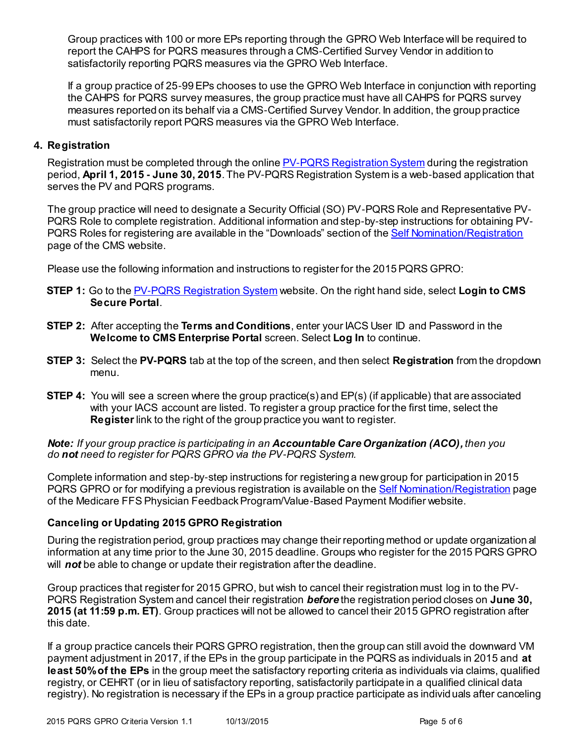Group practices with 100 or more EPs reporting through the GPRO Web Interface will be required to report the CAHPS for PQRS measures through a CMS-Certified Survey Vendor in addition to satisfactorily reporting PQRS measures via the GPRO Web Interface.

 If a group practice of 25-99 EPs chooses to use the GPRO Web Interface in conjunction with reporting the CAHPS for PQRS survey measures, the group practice must have all CAHPS for PQRS survey measures reported on its behalf via a CMS-Certified Survey Vendor. In addition, the group practice must satisfactorily report PQRS measures via the GPRO Web Interface.

#### **4. Registration**

Registration must be completed through the online **PV-PQRS Registration System** during the registration  period, **April 1, 2015 - June 30, 2015**. The PV-PQRS Registration System is a web-based application that serves the PV and PQRS programs.

 The group practice will need to designate a Security Official (SO) PV-PQRS Role and Representative PV- PQRS Role to complete registration. Additional information and step-by-step instructions for obtaining PV-PQRS Roles for registering are available in the "Downloads" section of the **Self Nomination/Registration** page of the CMS website.

Please use the following information and instructions to register for the 2015 PQRS GPRO:

- **STEP 1:** Go to the [PV-PQRS Registration System](https://portal.cms.gov/) website. On the right hand side, select **Login to CMS Secure Portal**.
- **STEP 2:** After accepting the **Terms and Conditions**, enter your IACS User ID and Password in the  **Welcome to CMS Enterprise Portal** screen. Select **Log In** to continue.
- **STEP 3:** Select the **PV-PQRS** tab at the top of the screen, and then select **Registration** from the dropdown menu.
- **STEP 4:** You will see a screen where the group practice(s) and EP(s) (if applicable) that are associated with your IACS account are listed. To register a group practice for the first time, select the **Register** link to the right of the group practice you want to register.

 *Note: If your group practice is participating in an Accountable Care Organization (ACO), then you do not need to register for PQRS GPRO via the PV-PQRS System.*

 Complete information and step-by-step instructions for registering a newgroup for participation in 2015 PQRS GPRO or for modifying a previous registration is available on the **Self Nomination/Registration** page of the [Medicare FFS Physician Feedback Program/Value-Based Payment Modifier](http://www.cms.gov/Medicare/Medicare-Fee-for-Service-Payment/PhysicianFeedbackProgram/index.html) website.

#### **Canceling or Updating 2015 GPRO Registration**

 During the registration period, group practices may change their reporting method or update organization al information at any time prior to the June 30, 2015 deadline. Groups who register for the 2015 PQRS GPRO will *not* be able to change or update their registration after the deadline.

 Group practices that register for 2015 GPRO, but wish to cancel their registration must log in to the PV- PQRS Registration System and cancel their registration *before* the registration period closes on **June 30, 2015 (at 11:59 p.m. ET)**. Group practices will not be allowed to cancel their 2015 GPRO registration after this date.

 If a group practice cancels their PQRS GPRO registration, then the group can still avoid the downward VM payment adjustment in 2017, if the EPs in the group participate in the PQRS as individuals in 2015 and **at least 50%of the EPs** in the group meet the satisfactory reporting criteria as individuals via claims, qualified registry, or CEHRT (or in lieu of satisfactory reporting, satisfactorily participate in a qualified clinical data registry). No registration is necessary if the EPs in a group practice participate as individuals after canceling